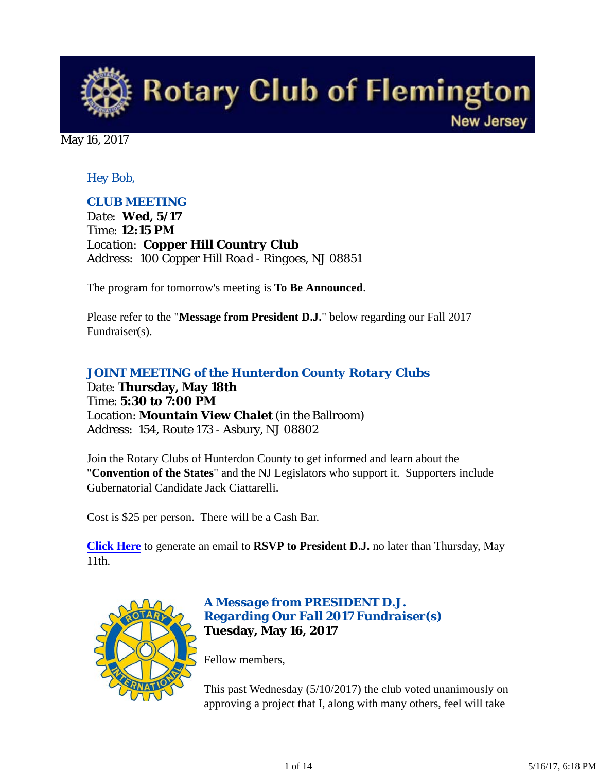

May 16, 2017

## *Hey Bob,*

### *CLUB MEETING*

*Date: Wed, 5/17 Time: 12:15 PM Location: Copper Hill Country Club Address: 100 Copper Hill Road - Ringoes, NJ 08851*

The program for tomorrow's meeting is **To Be Announced**.

Please refer to the "**Message from President D.J.**" below regarding our Fall 2017 Fundraiser(s).

# *JOINT MEETING of the Hunterdon County Rotary Clubs* Date: **Thursday, May 18th**

Time: **5:30 to 7:00 PM** Location: **Mountain View Chalet** (in the Ballroom) Address: 154, Route 173 - Asbury, NJ 08802

Join the Rotary Clubs of Hunterdon County to get informed and learn about the "**Convention of the States**" and the NJ Legislators who support it. Supporters include Gubernatorial Candidate Jack Ciattarelli.

Cost is \$25 per person. There will be a Cash Bar.

**Click Here** to generate an email to **RSVP to President D.J.** no later than Thursday, May 11th.



### *A Message from PRESIDENT D.J. Regarding Our Fall 2017 Fundraiser(s)* **Tuesday, May 16, 2017**

Fellow members,

This past Wednesday (5/10/2017) the club voted unanimously on approving a project that I, along with many others, feel will take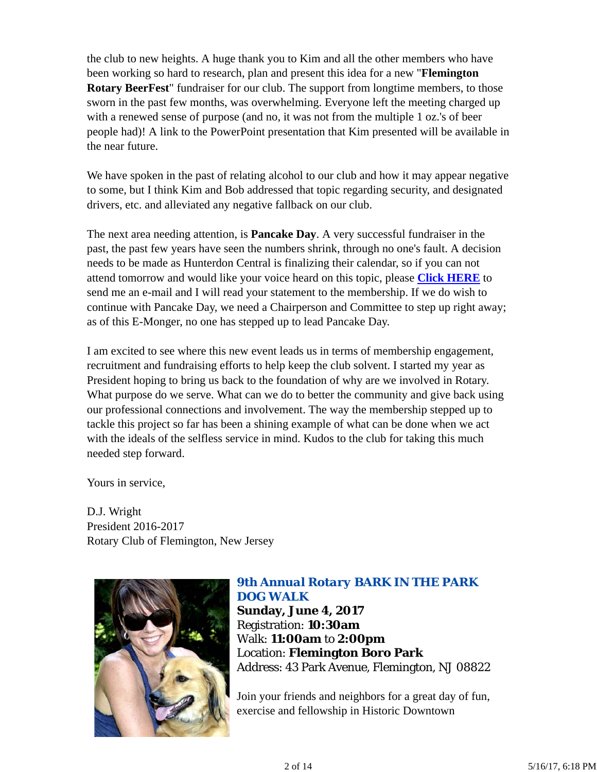the club to new heights. A huge thank you to Kim and all the other members who have been working so hard to research, plan and present this idea for a new "**Flemington Rotary BeerFest**" fundraiser for our club. The support from longtime members, to those sworn in the past few months, was overwhelming. Everyone left the meeting charged up with a renewed sense of purpose (and no, it was not from the multiple 1 oz.'s of beer people had)! A link to the PowerPoint presentation that Kim presented will be available in the near future.

We have spoken in the past of relating alcohol to our club and how it may appear negative to some, but I think Kim and Bob addressed that topic regarding security, and designated drivers, etc. and alleviated any negative fallback on our club.

The next area needing attention, is **Pancake Day**. A very successful fundraiser in the past, the past few years have seen the numbers shrink, through no one's fault. A decision needs to be made as Hunterdon Central is finalizing their calendar, so if you can not attend tomorrow and would like your voice heard on this topic, please **Click HERE** to send me an e-mail and I will read your statement to the membership. If we do wish to continue with Pancake Day, we need a Chairperson and Committee to step up right away; as of this E-Monger, no one has stepped up to lead Pancake Day.

I am excited to see where this new event leads us in terms of membership engagement, recruitment and fundraising efforts to help keep the club solvent. I started my year as President hoping to bring us back to the foundation of why are we involved in Rotary. What purpose do we serve. What can we do to better the community and give back using our professional connections and involvement. The way the membership stepped up to tackle this project so far has been a shining example of what can be done when we act with the ideals of the selfless service in mind. Kudos to the club for taking this much needed step forward.

Yours in service,

D.J. Wright President 2016-2017 Rotary Club of Flemington, New Jersey



## *9th Annual Rotary BARK IN THE PARK DOG WALK*

**Sunday, June 4, 2017** Registration: **10:30am** Walk: **11:00am** to **2:00pm** Location: **Flemington Boro Park** Address: 43 Park Avenue, Flemington, NJ 08822

Join your friends and neighbors for a great day of fun, exercise and fellowship in Historic Downtown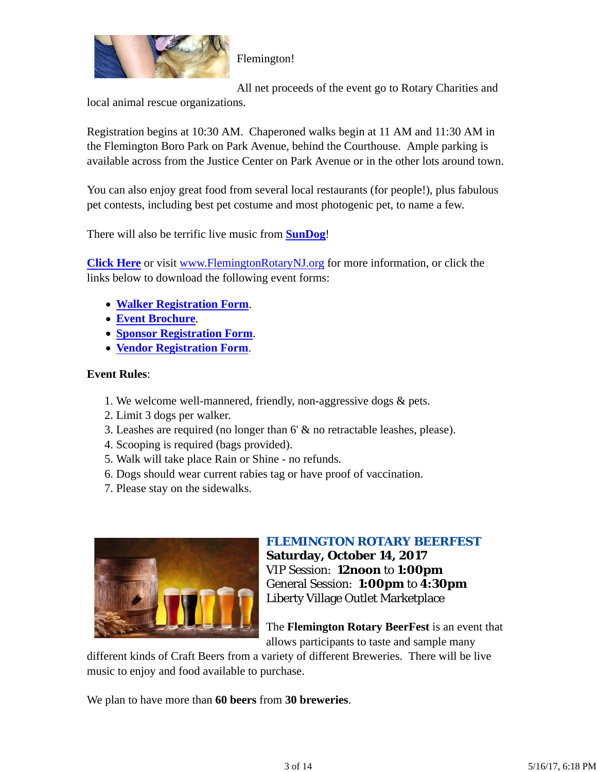

Flemington!

All net proceeds of the event go to Rotary Charities and

local animal rescue organizations.

Registration begins at 10:30 AM. Chaperoned walks begin at 11 AM and 11:30 AM in the Flemington Boro Park on Park Avenue, behind the Courthouse. Ample parking is available across from the Justice Center on Park Avenue or in the other lots around town.

You can also enjoy great food from several local restaurants (for people!), plus fabulous pet contests, including best pet costume and most photogenic pet, to name a few.

There will also be terrific live music from **SunDog**!

**Click Here** or visit www.FlemingtonRotaryNJ.org for more information, or click the links below to download the following event forms:

- **Walker Registration Form**.
- **Event Brochure**.
- **Sponsor Registration Form**.
- **Vendor Registration Form**.

## **Event Rules**:

- 1. We welcome well-mannered, friendly, non-aggressive dogs & pets.
- 2. Limit 3 dogs per walker.
- 3. Leashes are required (no longer than 6' & no retractable leashes, please).
- 4. Scooping is required (bags provided).
- 5. Walk will take place Rain or Shine no refunds.
- 6. Dogs should wear current rabies tag or have proof of vaccination.
- 7. Please stay on the sidewalks.



## *FLEMINGTON ROTARY BEERFEST* **Saturday, October 14, 2017**

VIP Session: **12noon** to **1:00pm** General Session: **1:00pm** to **4:30pm** Liberty Village Outlet Marketplace

The **Flemington Rotary BeerFest** is an event that allows participants to taste and sample many

different kinds of Craft Beers from a variety of different Breweries. There will be live music to enjoy and food available to purchase.

We plan to have more than **60 beers** from **30 breweries**.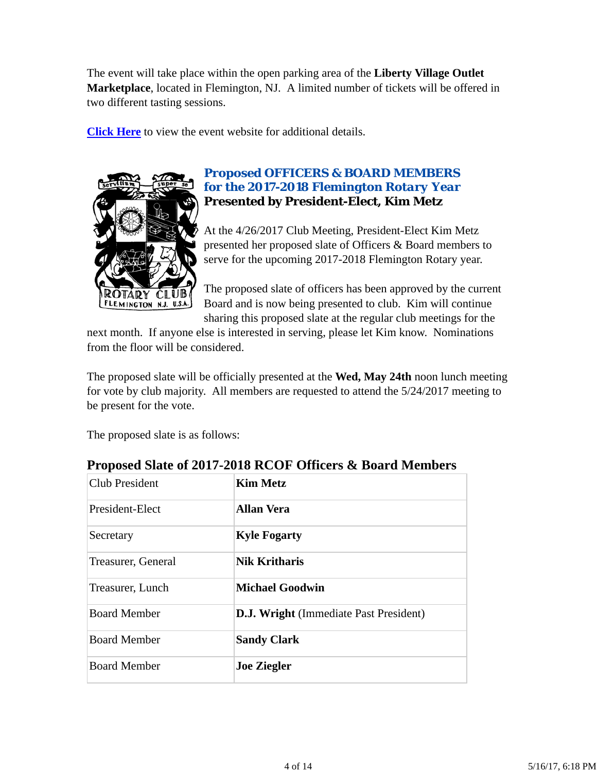The event will take place within the open parking area of the **Liberty Village Outlet Marketplace**, located in Flemington, NJ. A limited number of tickets will be offered in two different tasting sessions.

**Click Here** to view the event website for additional details.



## *Proposed OFFICERS & BOARD MEMBERS for the 2017-2018 Flemington Rotary Year* **Presented by President-Elect, Kim Metz**

At the 4/26/2017 Club Meeting, President-Elect Kim Metz presented her proposed slate of Officers & Board members to serve for the upcoming 2017-2018 Flemington Rotary year.

The proposed slate of officers has been approved by the current Board and is now being presented to club. Kim will continue sharing this proposed slate at the regular club meetings for the

next month. If anyone else is interested in serving, please let Kim know. Nominations from the floor will be considered.

The proposed slate will be officially presented at the **Wed, May 24th** noon lunch meeting for vote by club majority. All members are requested to attend the 5/24/2017 meeting to be present for the vote.

The proposed slate is as follows:

| <b>Club President</b> | <b>Kim Metz</b>                               |  |
|-----------------------|-----------------------------------------------|--|
| President-Elect       | <b>Allan Vera</b>                             |  |
| Secretary             | <b>Kyle Fogarty</b>                           |  |
| Treasurer, General    | <b>Nik Kritharis</b>                          |  |
| Treasurer, Lunch      | <b>Michael Goodwin</b>                        |  |
| <b>Board Member</b>   | <b>D.J. Wright</b> (Immediate Past President) |  |
| <b>Board Member</b>   | <b>Sandy Clark</b>                            |  |
| <b>Board Member</b>   | <b>Joe Ziegler</b>                            |  |

## **Proposed Slate of 2017-2018 RCOF Officers & Board Members**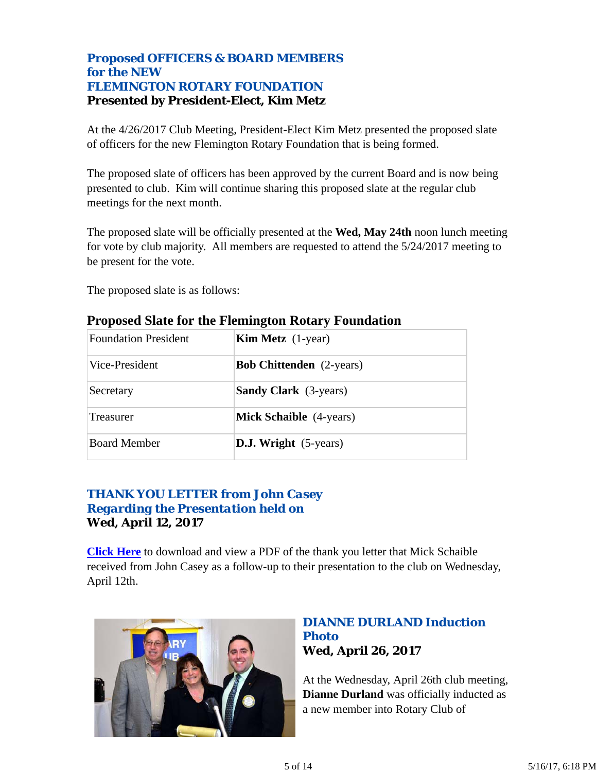## *Proposed OFFICERS & BOARD MEMBERS for the NEW FLEMINGTON ROTARY FOUNDATION* **Presented by President-Elect, Kim Metz**

At the 4/26/2017 Club Meeting, President-Elect Kim Metz presented the proposed slate of officers for the new Flemington Rotary Foundation that is being formed.

The proposed slate of officers has been approved by the current Board and is now being presented to club. Kim will continue sharing this proposed slate at the regular club meetings for the next month.

The proposed slate will be officially presented at the **Wed, May 24th** noon lunch meeting for vote by club majority. All members are requested to attend the 5/24/2017 meeting to be present for the vote.

The proposed slate is as follows:

| <b>Foundation President</b> | <b>Kim Metz</b> $(1$ -year)     |  |
|-----------------------------|---------------------------------|--|
| Vice-President              | <b>Bob Chittenden</b> (2-years) |  |
| Secretary                   | <b>Sandy Clark</b> (3-years)    |  |
| <b>Treasurer</b>            | <b>Mick Schaible</b> (4-years)  |  |
| <b>Board Member</b>         | <b>D.J. Wright</b> (5-years)    |  |

## **Proposed Slate for the Flemington Rotary Foundation**

## *THANK YOU LETTER from John Casey Regarding the Presentation held on* **Wed, April 12, 2017**

**Click Here** to download and view a PDF of the thank you letter that Mick Schaible received from John Casey as a follow-up to their presentation to the club on Wednesday, April 12th.



## *DIANNE DURLAND Induction Photo* **Wed, April 26, 2017**

At the Wednesday, April 26th club meeting, **Dianne Durland** was officially inducted as a new member into Rotary Club of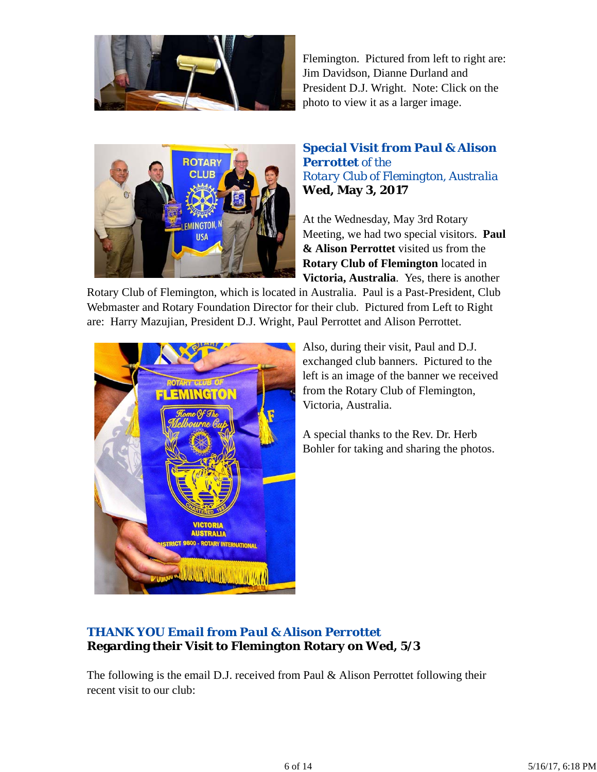

Flemington. Pictured from left to right are: Jim Davidson, Dianne Durland and President D.J. Wright. Note: Click on the photo to view it as a larger image.



## *Special Visit from Paul & Alison Perrottet of the Rotary Club of Flemington, Australia* **Wed, May 3, 2017**

At the Wednesday, May 3rd Rotary Meeting, we had two special visitors. **Paul & Alison Perrottet** visited us from the **Rotary Club of Flemington** located in **Victoria, Australia**. Yes, there is another

Rotary Club of Flemington, which is located in Australia. Paul is a Past-President, Club Webmaster and Rotary Foundation Director for their club. Pictured from Left to Right are: Harry Mazujian, President D.J. Wright, Paul Perrottet and Alison Perrottet.



Also, during their visit, Paul and D.J. exchanged club banners. Pictured to the left is an image of the banner we received from the Rotary Club of Flemington, Victoria, Australia.

A special thanks to the Rev. Dr. Herb Bohler for taking and sharing the photos.

## *THANK YOU Email from Paul & Alison Perrottet* **Regarding their Visit to Flemington Rotary on Wed, 5/3**

The following is the email D.J. received from Paul & Alison Perrottet following their recent visit to our club: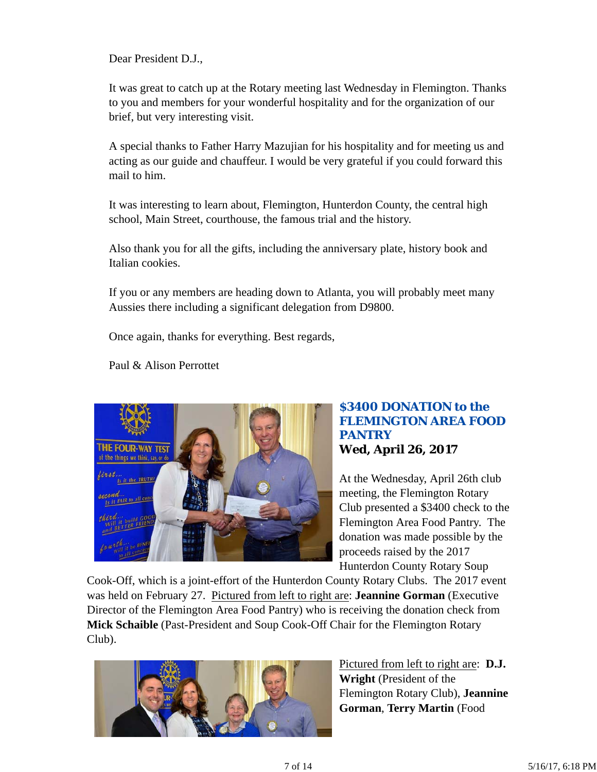Dear President D.J.,

It was great to catch up at the Rotary meeting last Wednesday in Flemington. Thanks to you and members for your wonderful hospitality and for the organization of our brief, but very interesting visit.

A special thanks to Father Harry Mazujian for his hospitality and for meeting us and acting as our guide and chauffeur. I would be very grateful if you could forward this mail to him.

It was interesting to learn about, Flemington, Hunterdon County, the central high school, Main Street, courthouse, the famous trial and the history.

Also thank you for all the gifts, including the anniversary plate, history book and Italian cookies.

If you or any members are heading down to Atlanta, you will probably meet many Aussies there including a significant delegation from D9800.

Once again, thanks for everything. Best regards,

Paul & Alison Perrottet



### *\$3400 DONATION to the FLEMINGTON AREA FOOD PANTRY* **Wed, April 26, 2017**

At the Wednesday, April 26th club meeting, the Flemington Rotary Club presented a \$3400 check to the Flemington Area Food Pantry. The donation was made possible by the proceeds raised by the 2017 Hunterdon County Rotary Soup

Cook-Off, which is a joint-effort of the Hunterdon County Rotary Clubs. The 2017 event was held on February 27. Pictured from left to right are: **Jeannine Gorman** (Executive Director of the Flemington Area Food Pantry) who is receiving the donation check from **Mick Schaible** (Past-President and Soup Cook-Off Chair for the Flemington Rotary Club).



Pictured from left to right are: **D.J. Wright** (President of the Flemington Rotary Club), **Jeannine Gorman**, **Terry Martin** (Food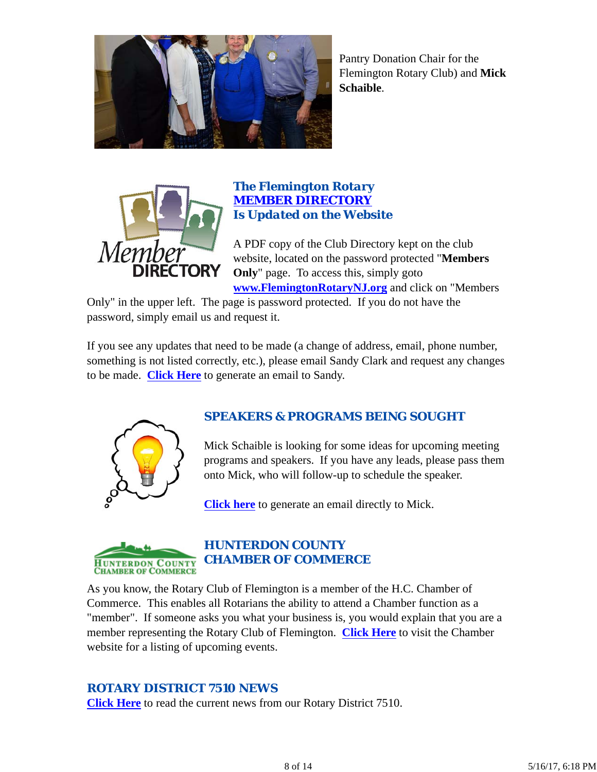

Pantry Donation Chair for the Flemington Rotary Club) and **Mick Schaible**.



### *The Flemington Rotary MEMBER DIRECTORY Is Updated on the Website*

A PDF copy of the Club Directory kept on the club website, located on the password protected "**Members Only**" page. To access this, simply goto **www.FlemingtonRotaryNJ.org** and click on "Members

Only" in the upper left. The page is password protected. If you do not have the password, simply email us and request it.

If you see any updates that need to be made (a change of address, email, phone number, something is not listed correctly, etc.), please email Sandy Clark and request any changes to be made. **Click Here** to generate an email to Sandy.



## *SPEAKERS & PROGRAMS BEING SOUGHT*

Mick Schaible is looking for some ideas for upcoming meeting programs and speakers. If you have any leads, please pass them onto Mick, who will follow-up to schedule the speaker.

**Click here** to generate an email directly to Mick.



## *HUNTERDON COUNTY CHAMBER OF COMMERCE*

As you know, the Rotary Club of Flemington is a member of the H.C. Chamber of Commerce. This enables all Rotarians the ability to attend a Chamber function as a "member". If someone asks you what your business is, you would explain that you are a member representing the Rotary Club of Flemington. **Click Here** to visit the Chamber website for a listing of upcoming events.

## *ROTARY DISTRICT 7510 NEWS*

**Click Here** to read the current news from our Rotary District 7510.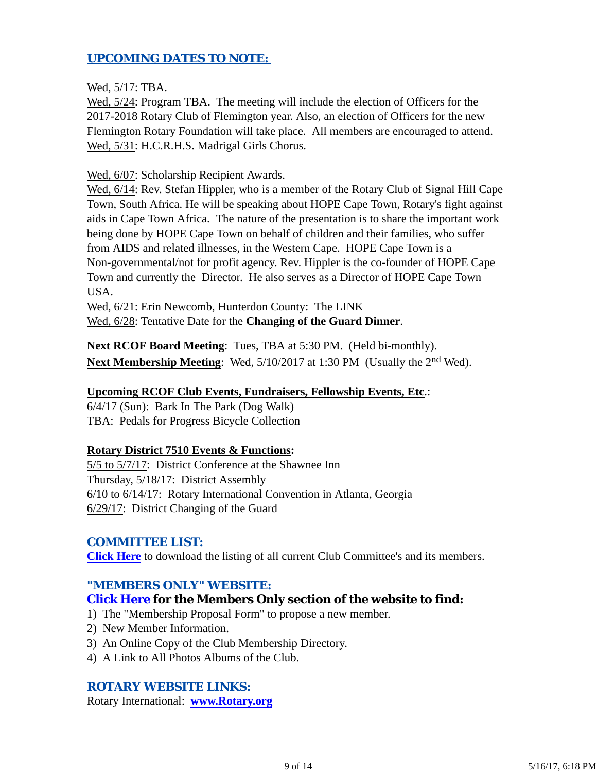## *UPCOMING DATES TO NOTE:*

Wed, 5/17: TBA.

Wed, 5/24: Program TBA. The meeting will include the election of Officers for the 2017-2018 Rotary Club of Flemington year. Also, an election of Officers for the new Flemington Rotary Foundation will take place. All members are encouraged to attend. Wed, 5/31: H.C.R.H.S. Madrigal Girls Chorus.

Wed, 6/07: Scholarship Recipient Awards.

Wed, 6/14: Rev. Stefan Hippler, who is a member of the Rotary Club of Signal Hill Cape Town, South Africa. He will be speaking about HOPE Cape Town, Rotary's fight against aids in Cape Town Africa. The nature of the presentation is to share the important work being done by HOPE Cape Town on behalf of children and their families, who suffer from AIDS and related illnesses, in the Western Cape. HOPE Cape Town is a Non-governmental/not for profit agency. Rev. Hippler is the co-founder of HOPE Cape Town and currently the Director. He also serves as a Director of HOPE Cape Town USA.

Wed, 6/21: Erin Newcomb, Hunterdon County: The LINK Wed, 6/28: Tentative Date for the **Changing of the Guard Dinner**.

**Next RCOF Board Meeting**: Tues, TBA at 5:30 PM. (Held bi-monthly). **Next Membership Meeting:** Wed,  $5/10/2017$  at 1:30 PM (Usually the 2<sup>nd</sup> Wed).

#### **Upcoming RCOF Club Events, Fundraisers, Fellowship Events, Etc**.:

6/4/17 (Sun): Bark In The Park (Dog Walk) TBA: Pedals for Progress Bicycle Collection

#### **Rotary District 7510 Events & Functions:**

5/5 to 5/7/17: District Conference at the Shawnee Inn Thursday, 5/18/17: District Assembly 6/10 to 6/14/17: Rotary International Convention in Atlanta, Georgia 6/29/17: District Changing of the Guard

#### *COMMITTEE LIST:*

**Click Here** to download the listing of all current Club Committee's and its members.

#### *"MEMBERS ONLY" WEBSITE:*

#### **Click Here for the Members Only section of the website to find:**

1) The "Membership Proposal Form" to propose a new member.

- 2) New Member Information.
- 3) An Online Copy of the Club Membership Directory.
- 4) A Link to All Photos Albums of the Club.

#### *ROTARY WEBSITE LINKS:*

Rotary International: **www.Rotary.org**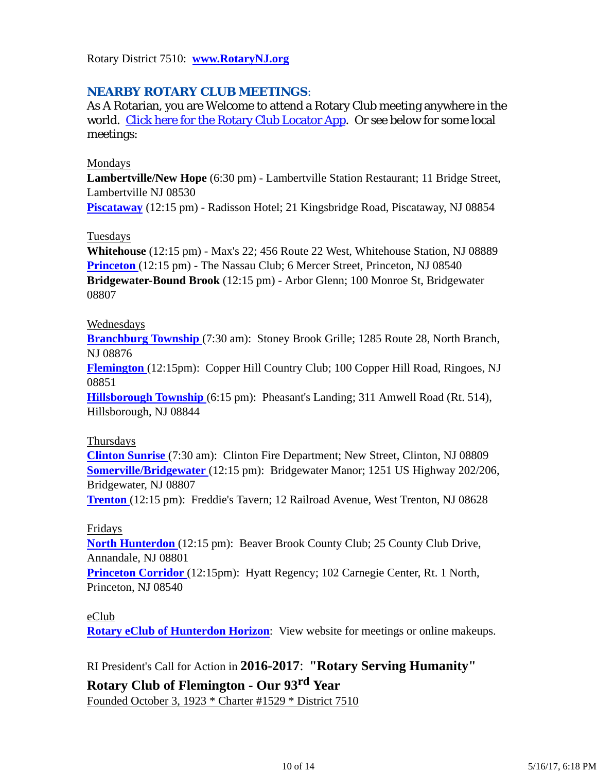Rotary District 7510: **www.RotaryNJ.org**

## *NEARBY ROTARY CLUB MEETINGS:*

As A Rotarian, you are Welcome to attend a Rotary Club meeting anywhere in the world. Click here for the Rotary Club Locator App. Or see below for some local meetings:

#### Mondays

**Lambertville/New Hope** (6:30 pm) - Lambertville Station Restaurant; 11 Bridge Street, Lambertville NJ 08530

**Piscataway** (12:15 pm) - Radisson Hotel; 21 Kingsbridge Road, Piscataway, NJ 08854

#### Tuesdays

**Whitehouse** (12:15 pm) - Max's 22; 456 Route 22 West, Whitehouse Station, NJ 08889 **Princeton** (12:15 pm) - The Nassau Club; 6 Mercer Street, Princeton, NJ 08540 **Bridgewater-Bound Brook** (12:15 pm) - Arbor Glenn; 100 Monroe St, Bridgewater 08807

#### Wednesdays

**Branchburg Township** (7:30 am): Stoney Brook Grille; 1285 Route 28, North Branch, NJ 08876

**Flemington** (12:15pm): Copper Hill Country Club; 100 Copper Hill Road, Ringoes, NJ 08851

**Hillsborough Township** (6:15 pm): Pheasant's Landing; 311 Amwell Road (Rt. 514), Hillsborough, NJ 08844

#### Thursdays

**Clinton Sunrise** (7:30 am): Clinton Fire Department; New Street, Clinton, NJ 08809 **Somerville/Bridgewater** (12:15 pm): Bridgewater Manor; 1251 US Highway 202/206, Bridgewater, NJ 08807

**Trenton** (12:15 pm): Freddie's Tavern; 12 Railroad Avenue, West Trenton, NJ 08628

#### Fridays

**North Hunterdon** (12:15 pm): Beaver Brook County Club; 25 County Club Drive, Annandale, NJ 08801

**Princeton Corridor** (12:15pm): Hyatt Regency; 102 Carnegie Center, Rt. 1 North, Princeton, NJ 08540

#### eClub

**Rotary eClub of Hunterdon Horizon**: View website for meetings or online makeups.

## RI President's Call for Action in **2016-2017**: **"Rotary Serving Humanity"**

## **Rotary Club of Flemington - Our 93rd Year**

Founded October 3, 1923 \* Charter #1529 \* District 7510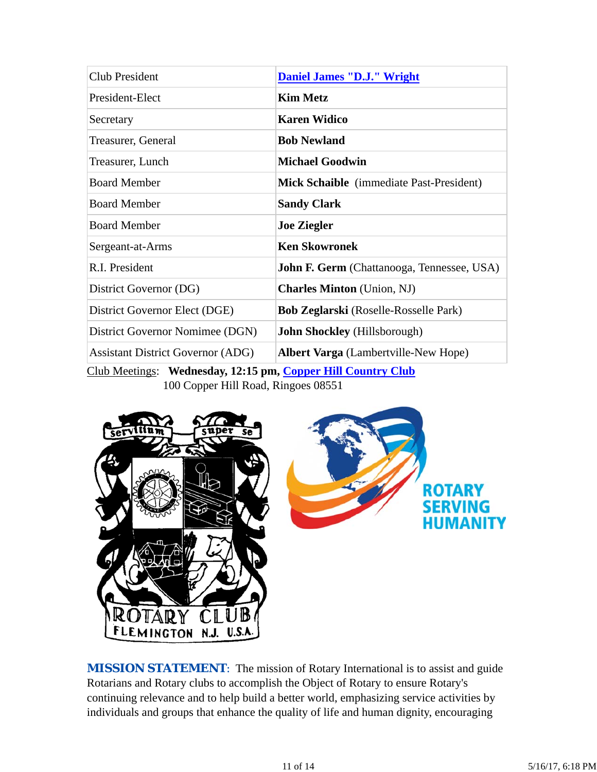| <b>Daniel James "D.J." Wright</b>                                                              |  |  |
|------------------------------------------------------------------------------------------------|--|--|
| <b>Kim Metz</b>                                                                                |  |  |
| <b>Karen Widico</b>                                                                            |  |  |
| <b>Bob Newland</b>                                                                             |  |  |
| <b>Michael Goodwin</b>                                                                         |  |  |
| <b>Mick Schaible</b> (immediate Past-President)                                                |  |  |
| <b>Sandy Clark</b>                                                                             |  |  |
| <b>Joe Ziegler</b>                                                                             |  |  |
| <b>Ken Skowronek</b>                                                                           |  |  |
| <b>John F. Germ</b> (Chattanooga, Tennessee, USA)                                              |  |  |
| <b>Charles Minton</b> (Union, NJ)                                                              |  |  |
| <b>Bob Zeglarski</b> (Roselle-Rosselle Park)                                                   |  |  |
| <b>John Shockley</b> (Hillsborough)                                                            |  |  |
| <b>Albert Varga</b> (Lambertville-New Hope)                                                    |  |  |
| $C_{\rm lab}$ Mostings. Wednesday 12.15 nm $C_{\rm onnaw}$ II:II $C_{\rm onntw}$ $C_{\rm lab}$ |  |  |

Club Meetings: **Wednesday, 12:15 pm, Copper Hill Country Club** 100 Copper Hill Road, Ringoes 08551



**MISSION STATEMENT:** The mission of Rotary International is to assist and guide Rotarians and Rotary clubs to accomplish the Object of Rotary to ensure Rotary's continuing relevance and to help build a better world, emphasizing service activities by individuals and groups that enhance the quality of life and human dignity, encouraging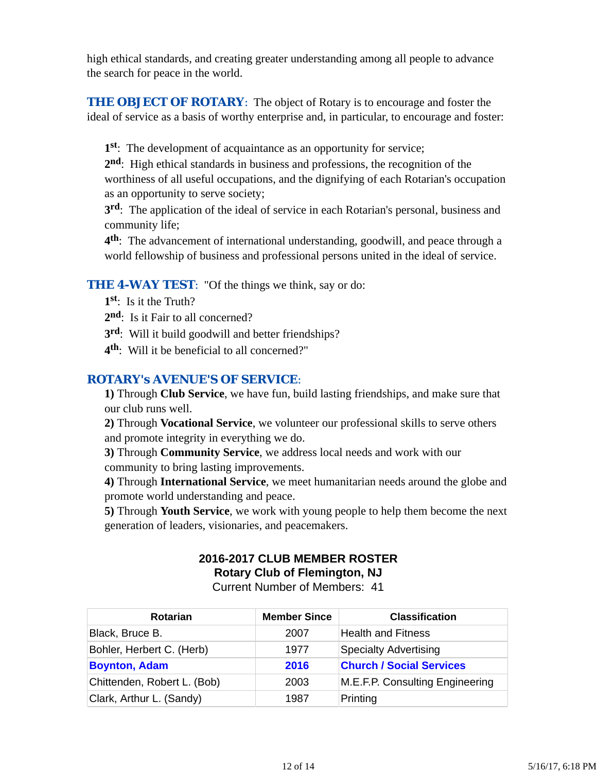high ethical standards, and creating greater understanding among all people to advance the search for peace in the world.

**THE OBJECT OF ROTARY:** The object of Rotary is to encourage and foster the ideal of service as a basis of worthy enterprise and, in particular, to encourage and foster:

**1st**: The development of acquaintance as an opportunity for service;

**2nd**: High ethical standards in business and professions, the recognition of the worthiness of all useful occupations, and the dignifying of each Rotarian's occupation as an opportunity to serve society;

**3rd**: The application of the ideal of service in each Rotarian's personal, business and community life;

**4th**: The advancement of international understanding, goodwill, and peace through a world fellowship of business and professional persons united in the ideal of service.

### **THE 4-WAY TEST:** "Of the things we think, say or do:

- **1st**: Is it the Truth?
- 2<sup>nd</sup>: Is it Fair to all concerned?
- **3rd**: Will it build goodwill and better friendships?
- **4th**: Will it be beneficial to all concerned?"

## *ROTARY's AVENUE'S OF SERVICE*:

**1)** Through **Club Service**, we have fun, build lasting friendships, and make sure that our club runs well.

**2)** Through **Vocational Service**, we volunteer our professional skills to serve others and promote integrity in everything we do.

**3)** Through **Community Service**, we address local needs and work with our community to bring lasting improvements.

**4)** Through **International Service**, we meet humanitarian needs around the globe and promote world understanding and peace.

**5)** Through **Youth Service**, we work with young people to help them become the next generation of leaders, visionaries, and peacemakers.

# **2016-2017 CLUB MEMBER ROSTER Rotary Club of Flemington, NJ**

Current Number of Members: 41

| <b>Rotarian</b>             | <b>Member Since</b> | <b>Classification</b>           |
|-----------------------------|---------------------|---------------------------------|
| Black, Bruce B.             | 2007                | <b>Health and Fitness</b>       |
| Bohler, Herbert C. (Herb)   | 1977                | <b>Specialty Advertising</b>    |
| <b>Boynton, Adam</b>        | 2016                | <b>Church / Social Services</b> |
| Chittenden, Robert L. (Bob) | 2003                | M.E.F.P. Consulting Engineering |
| Clark, Arthur L. (Sandy)    | 1987                | Printing                        |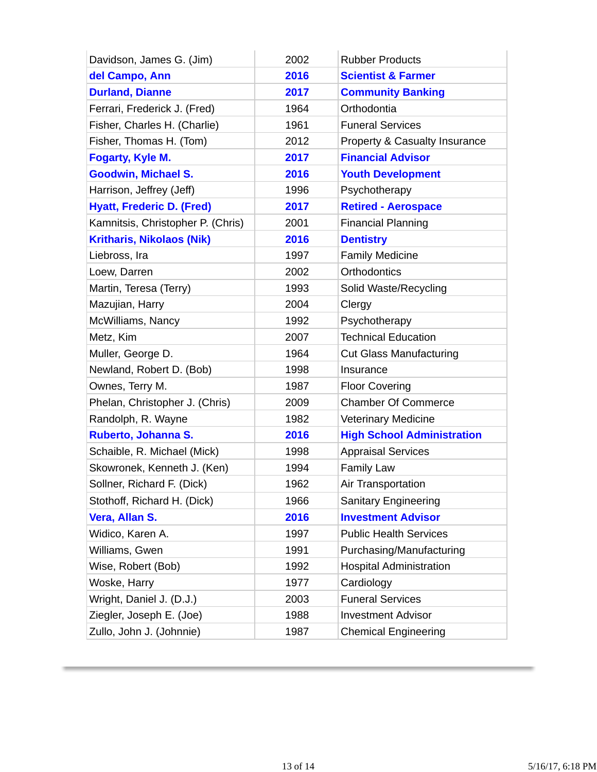| Davidson, James G. (Jim)          | 2002 | <b>Rubber Products</b>            |
|-----------------------------------|------|-----------------------------------|
| del Campo, Ann                    | 2016 | <b>Scientist &amp; Farmer</b>     |
| <b>Durland, Dianne</b>            | 2017 | <b>Community Banking</b>          |
| Ferrari, Frederick J. (Fred)      | 1964 | Orthodontia                       |
| Fisher, Charles H. (Charlie)      | 1961 | <b>Funeral Services</b>           |
| Fisher, Thomas H. (Tom)           | 2012 | Property & Casualty Insurance     |
| Fogarty, Kyle M.                  | 2017 | <b>Financial Advisor</b>          |
| <b>Goodwin, Michael S.</b>        | 2016 | <b>Youth Development</b>          |
| Harrison, Jeffrey (Jeff)          | 1996 | Psychotherapy                     |
| <b>Hyatt, Frederic D. (Fred)</b>  | 2017 | <b>Retired - Aerospace</b>        |
| Kamnitsis, Christopher P. (Chris) | 2001 | <b>Financial Planning</b>         |
| <b>Kritharis, Nikolaos (Nik)</b>  | 2016 | <b>Dentistry</b>                  |
| Liebross, Ira                     | 1997 | <b>Family Medicine</b>            |
| Loew, Darren                      | 2002 | Orthodontics                      |
| Martin, Teresa (Terry)            | 1993 | Solid Waste/Recycling             |
| Mazujian, Harry                   | 2004 | Clergy                            |
| McWilliams, Nancy                 | 1992 | Psychotherapy                     |
| Metz, Kim                         | 2007 | <b>Technical Education</b>        |
| Muller, George D.                 | 1964 | <b>Cut Glass Manufacturing</b>    |
| Newland, Robert D. (Bob)          | 1998 | Insurance                         |
| Ownes, Terry M.                   | 1987 | <b>Floor Covering</b>             |
| Phelan, Christopher J. (Chris)    | 2009 | <b>Chamber Of Commerce</b>        |
| Randolph, R. Wayne                | 1982 | <b>Veterinary Medicine</b>        |
| Ruberto, Johanna S.               | 2016 | <b>High School Administration</b> |
| Schaible, R. Michael (Mick)       | 1998 | <b>Appraisal Services</b>         |
| Skowronek, Kenneth J. (Ken)       | 1994 | <b>Family Law</b>                 |
| Sollner, Richard F. (Dick)        | 1962 | <b>Air Transportation</b>         |
| Stothoff, Richard H. (Dick)       | 1966 | <b>Sanitary Engineering</b>       |
| Vera, Allan S.                    | 2016 | <b>Investment Advisor</b>         |
| Widico, Karen A.                  | 1997 | <b>Public Health Services</b>     |
| Williams, Gwen                    | 1991 | Purchasing/Manufacturing          |
| Wise, Robert (Bob)                | 1992 | <b>Hospital Administration</b>    |
| Woske, Harry                      | 1977 | Cardiology                        |
| Wright, Daniel J. (D.J.)          | 2003 | <b>Funeral Services</b>           |
| Ziegler, Joseph E. (Joe)          | 1988 | <b>Investment Advisor</b>         |
| Zullo, John J. (Johnnie)          | 1987 | <b>Chemical Engineering</b>       |